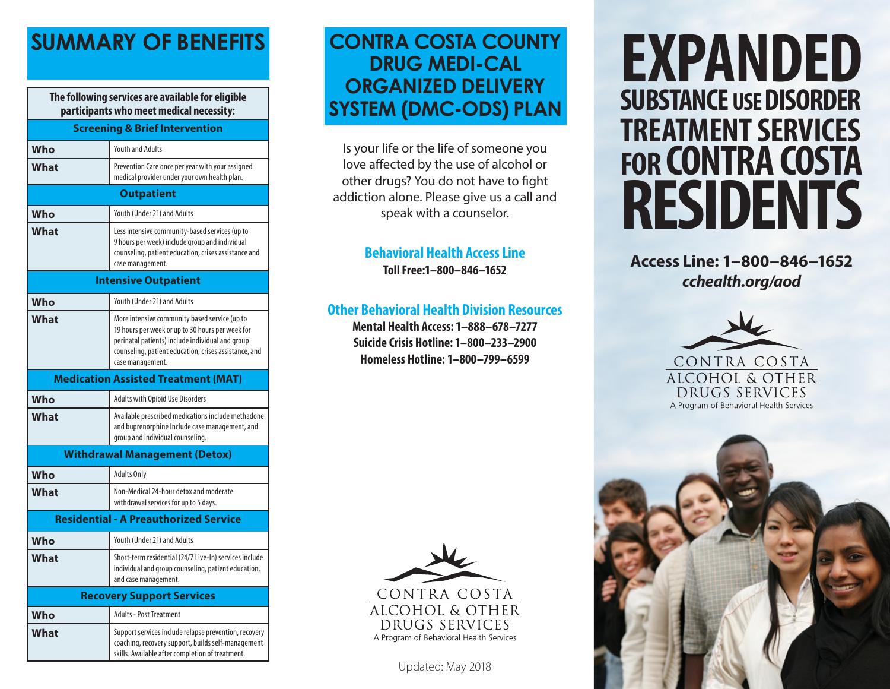**The following services are available for eligible participants who meet medical necessity:**

| <b>Screening &amp; Brief Intervention</b>    |                                                                                                                                                                                                                                    |
|----------------------------------------------|------------------------------------------------------------------------------------------------------------------------------------------------------------------------------------------------------------------------------------|
| Who                                          | <b>Youth and Adults</b>                                                                                                                                                                                                            |
| What                                         | Prevention Care once per year with your assigned<br>medical provider under your own health plan.                                                                                                                                   |
| <b>Outpatient</b>                            |                                                                                                                                                                                                                                    |
| Who                                          | Youth (Under 21) and Adults                                                                                                                                                                                                        |
| What                                         | Less intensive community-based services (up to<br>9 hours per week) include group and individual<br>counseling, patient education, crises assistance and<br>case management.                                                       |
| <b>Intensive Outpatient</b>                  |                                                                                                                                                                                                                                    |
| Who                                          | Youth (Under 21) and Adults                                                                                                                                                                                                        |
| What                                         | More intensive community based service (up to<br>19 hours per week or up to 30 hours per week for<br>perinatal patients) include individual and group<br>counseling, patient education, crises assistance, and<br>case management. |
| <b>Medication Assisted Treatment (MAT)</b>   |                                                                                                                                                                                                                                    |
| Who                                          | Adults with Opioid Use Disorders                                                                                                                                                                                                   |
| What                                         | Available prescribed medications include methadone<br>and buprenorphine Include case management, and<br>group and individual counseling.                                                                                           |
| <b>Withdrawal Management (Detox)</b>         |                                                                                                                                                                                                                                    |
| Who                                          | <b>Adults Only</b>                                                                                                                                                                                                                 |
| What                                         | Non-Medical 24-hour detox and moderate<br>withdrawal services for up to 5 days.                                                                                                                                                    |
| <b>Residential - A Preauthorized Service</b> |                                                                                                                                                                                                                                    |
| Who                                          | Youth (Under 21) and Adults                                                                                                                                                                                                        |
| What                                         | Short-term residential (24/7 Live-In) services include<br>individual and group counseling, patient education,<br>and case management.                                                                                              |
| <b>Recovery Support Services</b>             |                                                                                                                                                                                                                                    |
| Who                                          | <b>Adults - Post Treatment</b>                                                                                                                                                                                                     |
| What                                         | Support services include relapse prevention, recovery<br>coaching, recovery support, builds self-management                                                                                                                        |

skills. Available after completion of treatment.

# **SUMMARY OF BENEFITS CONTRA COSTA COUNTY DRUG MEDI-CAL ORGANIZED DELIVERY SYSTEM (DMC-ODS) PLAN**

Is your life or the life of someone you love affected by the use of alcohol or other drugs? You do not have to fight addiction alone. Please give us a call and speak with a counselor.

# **Behavioral Health Access Line**

**Toll Free:1–800–846–1652**

### **Other Behavioral Health Division Resources**

**Mental Health Access: 1–888–678–7277 Suicide Crisis Hotline: 1–800–233–2900 Homeless Hotline: 1–800–799–6599**



Updated: May 2018

# **EXPANDED SUBSTANCE USE DISORDER TREATMENT SERVICES FOR CONTRA COSTA RESIDENTS**

**Access Line: 1−800−846−1652** *cchealth.org/aod*